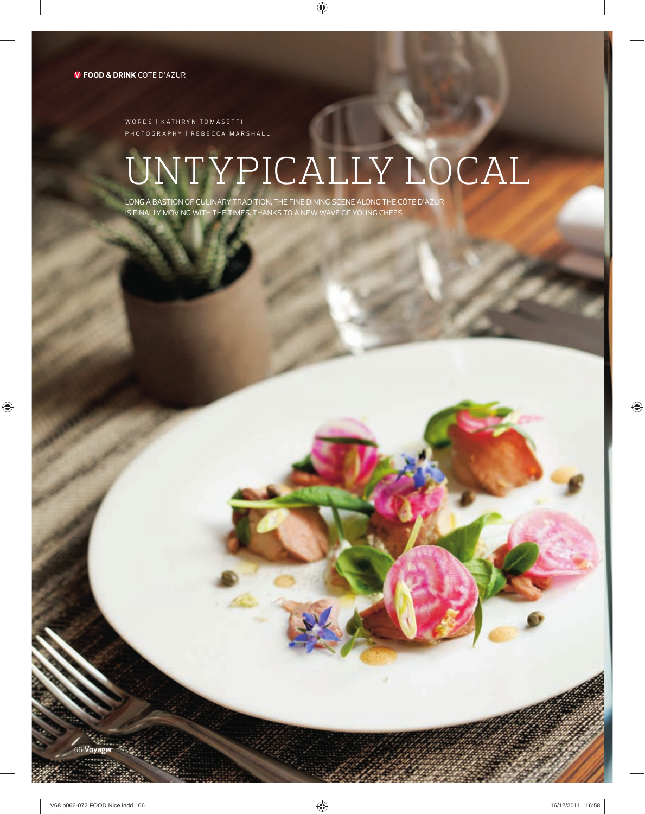W O R D S | K A T H R Y N T O M A S E T T I PHOTOGRAPHY | REBECCA MARSHALL

# UNTYPICALLY LOCAL

LONG A BASTION OF CULINARY TRADITION, THE FINE DINING SCENE ALONG THE CÔTE D'AZUR IS FINALLY MOVING WITH THE TIMES, THANKS TO A NEW WAVE OF YOUNG CHEFS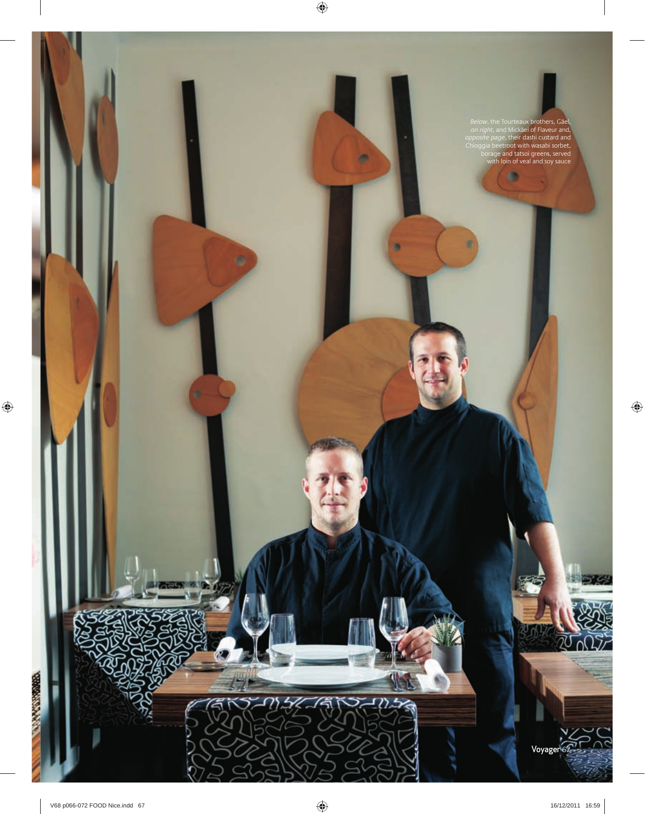*Below*, the Tourteaux brothers, Gäel, *on right*, and Mickäel of Flaveur and, *opposite page*, their dashi custard and Chioggia beetroot with wasabi sorbet, borage and tatsoi greens, served with loin of veal and soy sauce

o

 $\bullet$ 

z

o.

Voyager 67

N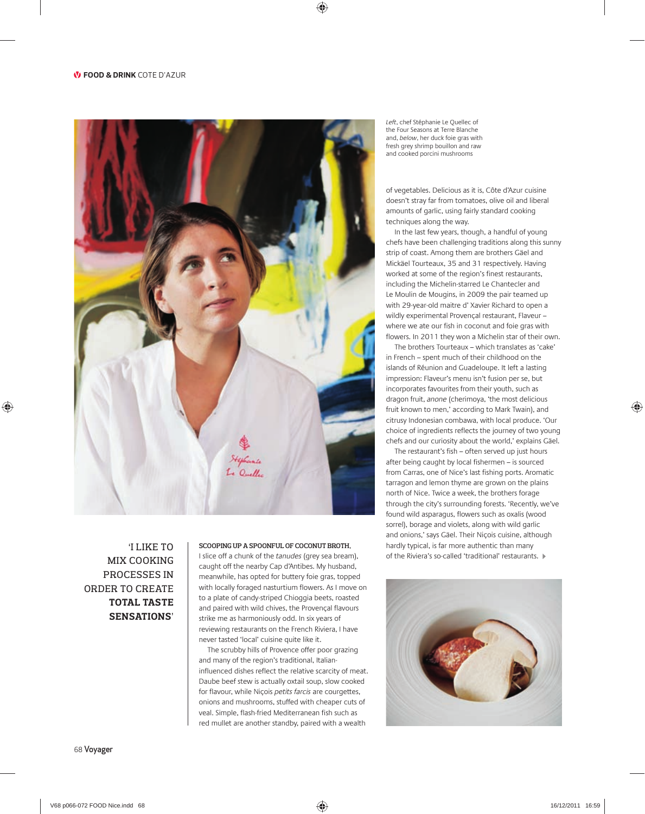

'I LIKE TO MIX COOKING PROCESSES IN ORDER TO CREATE **TOTAL TASTE SENSATIONS**'

**SCOOPING UP A SPOONFUL OF COCONUT BROTH**,

I slice off a chunk of the *tanudes* (grey sea bream), caught off the nearby Cap d'Antibes. My husband, meanwhile, has opted for buttery foie gras, topped with locally foraged nasturtium flowers. As I move on to a plate of candy-striped Chioggia beets, roasted and paired with wild chives, the Provençal flavours strike me as harmoniously odd. In six years of reviewing restaurants on the French Riviera, I have never tasted 'local' cuisine quite like it.

The scrubby hills of Provence offer poor grazing and many of the region's traditional, Italianinfluenced dishes reflect the relative scarcity of meat. Daube beef stew is actually oxtail soup, slow cooked for flavour, while Niçois petits farcis are courgettes, onions and mushrooms, stuffed with cheaper cuts of veal. Simple, flash-fried Mediterranean fish such as red mullet are another standby, paired with a wealth

*Left*, chef Stéphanie Le Quellec of the Four Seasons at Terre Blanche and, *below*, her duck foie gras with fresh grey shrimp bouillon and raw and cooked porcini mushrooms

of vegetables. Delicious as it is, Côte d'Azur cuisine doesn't stray far from tomatoes, olive oil and liberal amounts of garlic, using fairly standard cooking techniques along the way.

In the last few years, though, a handful of young chefs have been challenging traditions along this sunny strip of coast. Among them are brothers Gäel and Mickäel Tourteaux, 35 and 31 respectively. Having worked at some of the region's finest restaurants, including the Michelin-starred Le Chantecler and Le Moulin de Mougins, in 2009 the pair teamed up with 29-year-old maitre d' Xavier Richard to open a wildly experimental Provençal restaurant, Flaveur – where we ate our fish in coconut and foie gras with flowers. In 2011 they won a Michelin star of their own.

The brothers Tourteaux – which translates as 'cake' in French – spent much of their childhood on the islands of Réunion and Guadeloupe. It left a lasting impression: Flaveur's menu isn't fusion per se, but incorporates favourites from their youth, such as dragon fruit, *anone* (cherimoya, 'the most delicious fruit known to men,' according to Mark Twain), and citrusy Indonesian combawa, with local produce. 'Our choice of ingredients reflects the journey of two young chefs and our curiosity about the world,' explains Gäel.

The restaurant's fish  $-$  often served up just hours after being caught by local fishermen - is sourced from Carras, one of Nice's last fishing ports. Aromatic tarragon and lemon thyme are grown on the plains north of Nice. Twice a week, the brothers forage through the city's surrounding forests. 'Recently, we've found wild asparagus, flowers such as oxalis (wood sorrel), borage and violets, along with wild garlic and onions,' says Gäel. Their Niçois cuisine, although hardly typical, is far more authentic than many of the Riviera's so-called 'traditional' restaurants.

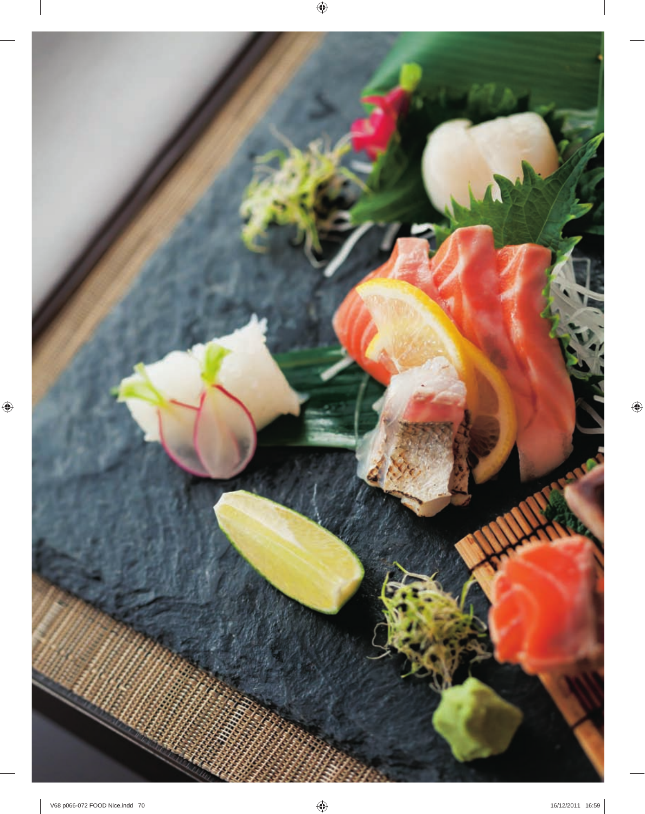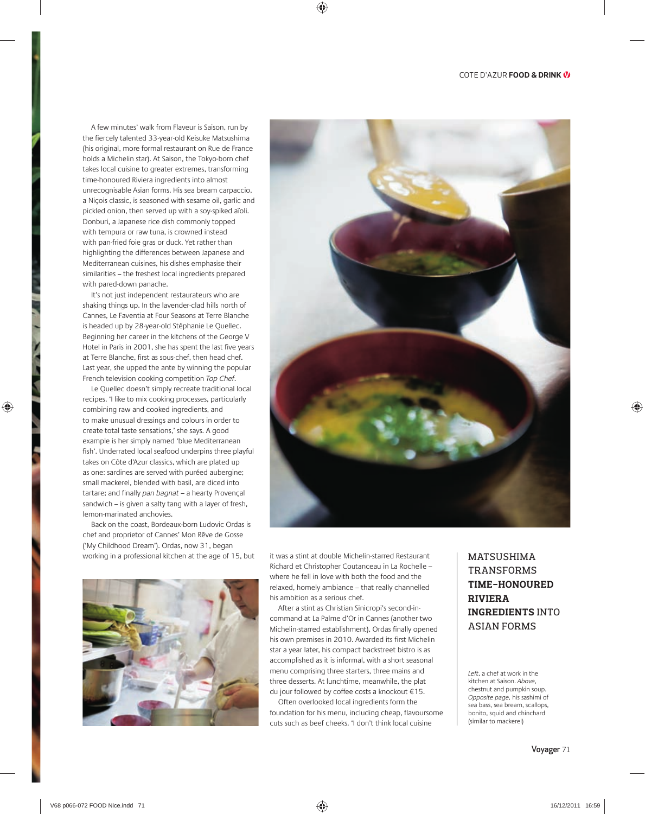A few minutes' walk from Flaveur is Saison, run by the fiercely talented 33-year-old Keisuke Matsushima (his original, more formal restaurant on Rue de France holds a Michelin star). At Saison, the Tokyo-born chef takes local cuisine to greater extremes, transforming time-honoured Riviera ingredients into almost unrecognisable Asian forms. His sea bream carpaccio, a Niçois classic, is seasoned with sesame oil, garlic and pickled onion, then served up with a soy-spiked aïoli. Donburi, a Japanese rice dish commonly topped with tempura or raw tuna, is crowned instead with pan-fried foie gras or duck. Yet rather than highlighting the differences between Japanese and Mediterranean cuisines, his dishes emphasise their similarities – the freshest local ingredients prepared with pared-down panache.

It's not just independent restaurateurs who are shaking things up. In the lavender-clad hills north of Cannes, Le Faventia at Four Seasons at Terre Blanche is headed up by 28-year-old Stéphanie Le Quellec. Beginning her career in the kitchens of the George V Hotel in Paris in 2001, she has spent the last five years at Terre Blanche, first as sous-chef, then head chef. Last year, she upped the ante by winning the popular French television cooking competition *Top Chef*.

Le Quellec doesn't simply recreate traditional local recipes. 'I like to mix cooking processes, particularly combining raw and cooked ingredients, and to make unusual dressings and colours in order to create total taste sensations,' she says. A good example is her simply named 'blue Mediterranean fish'. Underrated local seafood underpins three playful takes on Côte d'Azur classics, which are plated up as one: sardines are served with puréed aubergine; small mackerel, blended with basil, are diced into tartare; and finally pan bagnat - a hearty Provençal sandwich – is given a salty tang with a layer of fresh, lemon-marinated anchovies.

Back on the coast, Bordeaux-born Ludovic Ordas is chef and proprietor of Cannes' Mon Rêve de Gosse ('My Childhood Dream'). Ordas, now 31, began working in a professional kitchen at the age of 15, but it was a stint at double Michelin-starred Restaurant





After a stint as Christian Sinicropi's second-incommand at La Palme d'Or in Cannes (another two Michelin-starred establishment), Ordas finally opened his own premises in 2010. Awarded its first Michelin star a year later, his compact backstreet bistro is as accomplished as it is informal, with a short seasonal menu comprising three starters, three mains and three desserts. At lunchtime, meanwhile, the plat du jour followed by coffee costs a knockout €15.

Often overlooked local ingredients form the foundation for his menu, including cheap, flavoursome cuts such as beef cheeks. 'I don't think local cuisine

MATSUSHIMA TRANSFORMS **TIME-HONOURED RIVIERA INGREDIENTS** INTO ASIAN FORMS

*Left*, a chef at work in the kitchen at Saison. *Above*, chestnut and pumpkin soup. *Opposite page,* his sashimi of sea bass, sea bream, scallops, bonito, squid and chinchard (similar to mackerel)